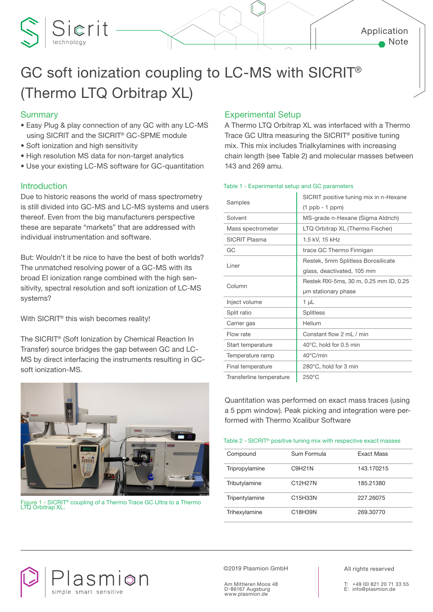

# GC soft ionization coupling to LC-MS with SICRIT® (Thermo LTQ Orbitrap XL)

## **Summary**

- Easy Plug & play connection of any GC with any LC-MS using SICRIT and the SICRIT® GC-SPME module
- Soft ionization and high sensitivity

Sierit

- High resolution MS data for non-target analytics
- Use your existing LC-MS software for GC-quantitation

### **Introduction**

Due to historic reasons the world of mass spectrometry is still divided into GC-MS and LC-MS systems and users thereof. Even from the big manufacturers perspective these are separate "markets" that are addressed with individual instrumentation and software.

But: Wouldn't it be nice to have the best of both worlds? The unmatched resolving power of a GC-MS with its broad EI ionization range combined with the high sensitivity, spectral resolution and soft ionization of LC-MS systems?

With SICRIT® this wish becomes reality!

The SICRIT® (Soft Ionization by Chemical Reaction In Transfer) source bridges the gap between GC and LC-MS by direct interfacing the instruments resulting in GCsoft ionization-MS.



Figure 1 - SICRIT® coupling of a Thermo Trace GC Ultra to a Thermo LTQ Orbitrap XL.

asmion

simple smart

# Experimental Setup

A Thermo LTQ Orbitrap XL was interfaced with a Thermo Trace GC Ultra measuring the SICRIT® positive tuning mix. This mix includes Trialkylamines with increasing chain length (see Table 2) and molecular masses between 143 and 269 amu.

#### Table 1 - Experimental setup and GC parameters

|                          | SICRIT positive tuning mix in n-Hexane |  |
|--------------------------|----------------------------------------|--|
| Samples                  | $(1$ ppb - 1 ppm $)$                   |  |
| Solvent                  | MS-grade n-Hexane (Sigma Aldrich)      |  |
| Mass spectrometer        | LTQ Orbitrap XL (Thermo Fischer)       |  |
| <b>SICRIT Plasma</b>     | 1.5 kV, 15 kHz                         |  |
| GC                       | trace GC Thermo Finnigan               |  |
| Liner                    | Restek, 5mm Splitless Borosilicate     |  |
|                          | glass, deactivated, 105 mm             |  |
| Column                   | Restek RXI-5ms, 30 m, 0.25 mm ID, 0.25 |  |
|                          | um stationary phase                    |  |
| Inject volume            | 1 µL                                   |  |
| Split ratio              | <b>Splitless</b>                       |  |
| Carrier gas              | Helium                                 |  |
| Flow rate                | Constant flow 2 ml / min               |  |
| Start temperature        | 40°C, hold for 0.5 min                 |  |
| Temperature ramp         | 40°C/min                               |  |
| Final temperature        | 280°C, hold for 3 min                  |  |
| Transferline temperature | $250^{\circ}$ C                        |  |

Quantitation was performed on exact mass traces (using a 5 ppm window). Peak picking and integration were performed with Thermo Xcalibur Software

Table 2 - SICRIT® positive tuning mix with respective exact masses

| Compound       | Sum Formula | <b>Exact Mass</b> |
|----------------|-------------|-------------------|
| Tripropylamine | C9H21N      | 143.170215        |
| Tributylamine  | C12H27N     | 185.21380         |
| Tripentylamine | C15H33N     | 227.26075         |
| Trihexylamine  | C18H39N     | 269.30770         |

©2019 Plasmion GmbH

Am Mittleren Moos 48 D-86167 Augsburg www.plasmion.de

All rights reserved

+49 (0) 821 20 71 33 55 E: info@plasmion.de